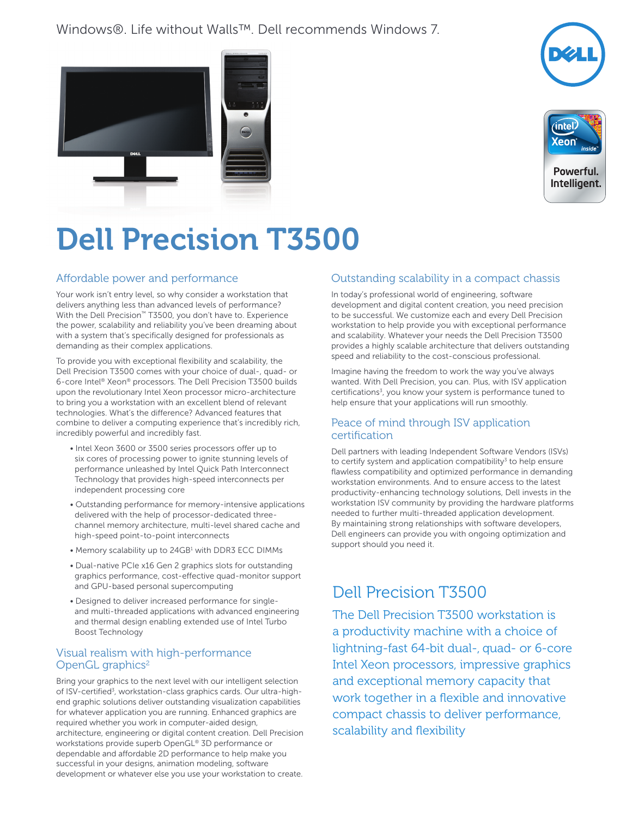## Windows®. Life without Walls™. Dell recommends Windows 7.







Intelligent.

# Dell Precision T3500

#### Affordable power and performance

Your work isn't entry level, so why consider a workstation that delivers anything less than advanced levels of performance? With the Dell Precision™ T3500, you don't have to. Experience the power, scalability and reliability you've been dreaming about with a system that's specifically designed for professionals as demanding as their complex applications.

To provide you with exceptional flexibility and scalability, the Dell Precision T3500 comes with your choice of dual-, quad- or 6-core Intel® Xeon® processors. The Dell Precision T3500 builds upon the revolutionary Intel Xeon processor micro-architecture to bring you a workstation with an excellent blend of relevant technologies. What's the difference? Advanced features that combine to deliver a computing experience that's incredibly rich, incredibly powerful and incredibly fast.

- Intel Xeon 3600 or 3500 series processors offer up to six cores of processing power to ignite stunning levels of performance unleashed by Intel Quick Path Interconnect Technology that provides high-speed interconnects per independent processing core
- Outstanding performance for memory-intensive applications delivered with the help of processor-dedicated threechannel memory architecture, multi-level shared cache and high-speed point-to-point interconnects
- Memory scalability up to 24GB<sup>1</sup> with DDR3 ECC DIMMs
- Dual-native PCIe x16 Gen 2 graphics slots for outstanding graphics performance, cost-effective quad-monitor support and GPU-based personal supercomputing
- Designed to deliver increased performance for singleand multi-threaded applications with advanced engineering and thermal design enabling extended use of Intel Turbo Boost Technology

#### Visual realism with high-performance OpenGL graphics $2$

Bring your graphics to the next level with our intelligent selection of ISV-certified<sup>3</sup>, workstation-class graphics cards. Our ultra-highend graphic solutions deliver outstanding visualization capabilities for whatever application you are running. Enhanced graphics are required whether you work in computer-aided design, architecture, engineering or digital content creation. Dell Precision workstations provide superb OpenGL® 3D performance or dependable and affordable 2D performance to help make you successful in your designs, animation modeling, software development or whatever else you use your workstation to create.

### Outstanding scalability in a compact chassis

In today's professional world of engineering, software development and digital content creation, you need precision to be successful. We customize each and every Dell Precision workstation to help provide you with exceptional performance and scalability. Whatever your needs the Dell Precision T3500 provides a highly scalable architecture that delivers outstanding speed and reliability to the cost-conscious professional.

Imagine having the freedom to work the way you've always wanted. With Dell Precision, you can. Plus, with ISV application certifications<sup>3</sup>, you know your system is performance tuned to help ensure that your applications will run smoothly.

#### Peace of mind through ISV application certification

Dell partners with leading Independent Software Vendors (ISVs) to certify system and application compatibility<sup>3</sup> to help ensure flawless compatibility and optimized performance in demanding workstation environments. And to ensure access to the latest productivity-enhancing technology solutions, Dell invests in the workstation ISV community by providing the hardware platforms needed to further multi-threaded application development. By maintaining strong relationships with software developers, Dell engineers can provide you with ongoing optimization and support should you need it.

# Dell Precision T3500

The Dell Precision T3500 workstation is a productivity machine with a choice of lightning-fast 64-bit dual-, quad- or 6-core Intel Xeon processors, impressive graphics and exceptional memory capacity that work together in a flexible and innovative compact chassis to deliver performance, scalability and flexibility